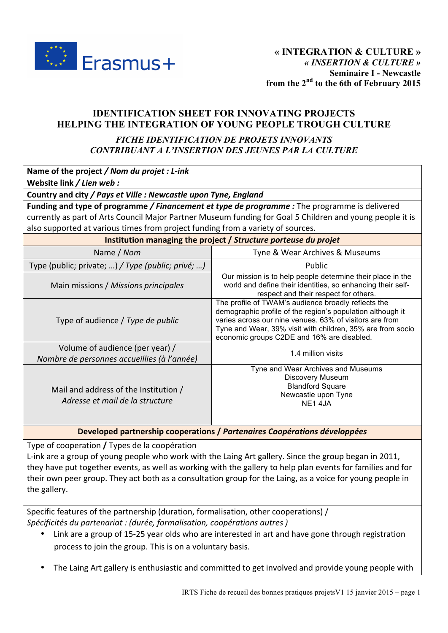

# **IDENTIFICATION SHEET FOR INNOVATING PROJECTS HELPING THE INTEGRATION OF YOUNG PEOPLE TROUGH CULTURE**

## *FICHE IDENTIFICATION DE PROJETS INNOVANTS CONTRIBUANT A L'INSERTION DES JEUNES PAR LA CULTURE*

| Name of the project / Nom du projet : L-ink                                                               |                                                                                                                                                                                                                                                                                          |  |  |  |
|-----------------------------------------------------------------------------------------------------------|------------------------------------------------------------------------------------------------------------------------------------------------------------------------------------------------------------------------------------------------------------------------------------------|--|--|--|
| Website link / Lien web:                                                                                  |                                                                                                                                                                                                                                                                                          |  |  |  |
| Country and city / Pays et Ville : Newcastle upon Tyne, England                                           |                                                                                                                                                                                                                                                                                          |  |  |  |
| Funding and type of programme / Financement et type de programme : The programme is delivered             |                                                                                                                                                                                                                                                                                          |  |  |  |
| currently as part of Arts Council Major Partner Museum funding for Goal 5 Children and young people it is |                                                                                                                                                                                                                                                                                          |  |  |  |
| also supported at various times from project funding from a variety of sources.                           |                                                                                                                                                                                                                                                                                          |  |  |  |
| Institution managing the project / Structure porteuse du projet                                           |                                                                                                                                                                                                                                                                                          |  |  |  |
| Name / Nom                                                                                                | Tyne & Wear Archives & Museums                                                                                                                                                                                                                                                           |  |  |  |
| Type (public; private; ) / Type (public; privé; )                                                         | Public                                                                                                                                                                                                                                                                                   |  |  |  |
| Main missions / Missions principales                                                                      | Our mission is to help people determine their place in the<br>world and define their identities, so enhancing their self-<br>respect and their respect for others.                                                                                                                       |  |  |  |
| Type of audience / Type de public                                                                         | The profile of TWAM's audience broadly reflects the<br>demographic profile of the region's population although it<br>varies across our nine venues. 63% of visitors are from<br>Tyne and Wear, 39% visit with children, 35% are from socio<br>economic groups C2DE and 16% are disabled. |  |  |  |
| Volume of audience (per year) /<br>Nombre de personnes accueillies (à l'année)                            | 1.4 million visits                                                                                                                                                                                                                                                                       |  |  |  |
| Mail and address of the Institution /<br>Adresse et mail de la structure                                  | Tyne and Wear Archives and Museums<br>Discovery Museum<br><b>Blandford Square</b><br>Newcastle upon Tyne<br><b>NE14JA</b>                                                                                                                                                                |  |  |  |

**Developed partnership cooperations / Partenaires Coopérations développées** 

Type of cooperation / Types de la coopération

L-ink are a group of young people who work with the Laing Art gallery. Since the group began in 2011, they have put together events, as well as working with the gallery to help plan events for families and for their own peer group. They act both as a consultation group for the Laing, as a voice for young people in the gallery.

Specific features of the partnership (duration, formalisation, other cooperations) / *Spécificités du partenariat : (durée, formalisation, coopérations autres )*

- Link are a group of 15-25 year olds who are interested in art and have gone through registration process to join the group. This is on a voluntary basis.
- The Laing Art gallery is enthusiastic and committed to get involved and provide young people with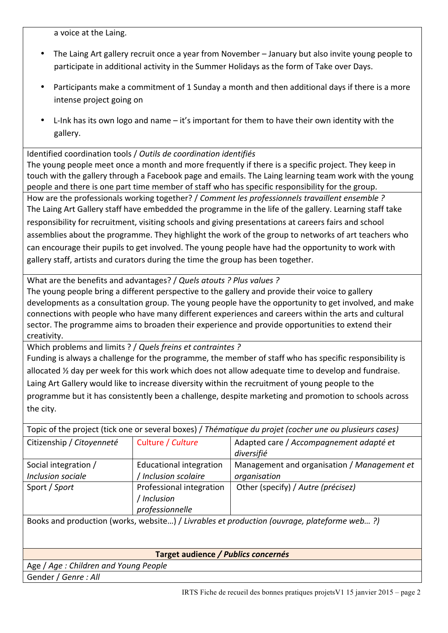a voice at the Laing.

- The Laing Art gallery recruit once a year from November January but also invite young people to participate in additional activity in the Summer Holidays as the form of Take over Days.
- Participants make a commitment of 1 Sunday a month and then additional days if there is a more intense project going on
- L-Ink has its own logo and name  $-$  it's important for them to have their own identity with the gallery.

Identified coordination tools / *Outils de coordination identifiés* 

The young people meet once a month and more frequently if there is a specific project. They keep in touch with the gallery through a Facebook page and emails. The Laing learning team work with the young people and there is one part time member of staff who has specific responsibility for the group.

How are the professionals working together? / *Comment les professionnels travaillent ensemble* ? The Laing Art Gallery staff have embedded the programme in the life of the gallery. Learning staff take responsibility for recruitment, visiting schools and giving presentations at careers fairs and school assemblies about the programme. They highlight the work of the group to networks of art teachers who can encourage their pupils to get involved. The young people have had the opportunity to work with gallery staff, artists and curators during the time the group has been together.

What are the benefits and advantages? / Quels atouts ? Plus values ?

The young people bring a different perspective to the gallery and provide their voice to gallery developments as a consultation group. The young people have the opportunity to get involved, and make connections with people who have many different experiences and careers within the arts and cultural sector. The programme aims to broaden their experience and provide opportunities to extend their creativity.

Which problems and limits ? / *Quels freins et contraintes* ?

Funding is always a challenge for the programme, the member of staff who has specific responsibility is allocated  $\frac{1}{2}$  day per week for this work which does not allow adequate time to develop and fundraise. Laing Art Gallery would like to increase diversity within the recruitment of young people to the programme but it has consistently been a challenge, despite marketing and promotion to schools across the city.

| Topic of the project (tick one or several boxes) / Thématique du projet (cocher une ou plusieurs cases) |                                                            |                                                       |  |
|---------------------------------------------------------------------------------------------------------|------------------------------------------------------------|-------------------------------------------------------|--|
| Citizenship / Citoyenneté                                                                               | Culture / Culture                                          | Adapted care / Accompagnement adapté et<br>diversifié |  |
| Social integration /                                                                                    | <b>Educational integration</b>                             | Management and organisation / Management et           |  |
| Inclusion sociale                                                                                       | Inclusion scolaire                                         | organisation                                          |  |
| Sport / Sport                                                                                           | Professional integration<br>l Inclusion<br>professionnelle | Other (specify) / Autre (précisez)                    |  |

Books and production (works, website...) / *Livrables et production (ouvrage, plateforme web...?*)

#### **Target audience** */ Publics concernés*

Age / Age : Children and Young People Gender / *Genre* : All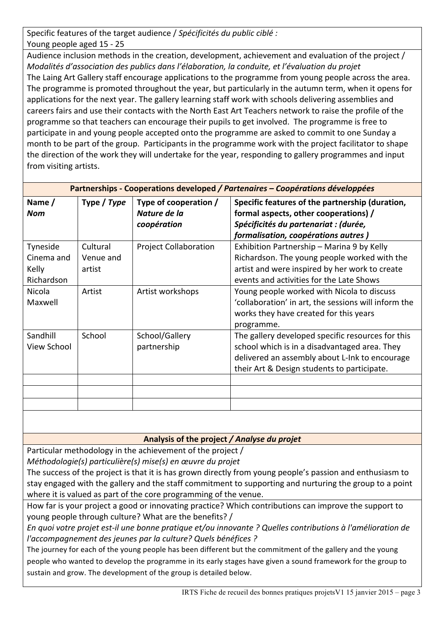Specific features of the target audience / Spécificités du public ciblé : Young people aged 15 - 25

Audience inclusion methods in the creation, development, achievement and evaluation of the project / *Modalités d'association des publics dans l'élaboration, la conduite, et l'évaluation du projet* The Laing Art Gallery staff encourage applications to the programme from young people across the area. The programme is promoted throughout the year, but particularly in the autumn term, when it opens for applications for the next year. The gallery learning staff work with schools delivering assemblies and careers fairs and use their contacts with the North East Art Teachers network to raise the profile of the programme so that teachers can encourage their pupils to get involved. The programme is free to participate in and young people accepted onto the programme are asked to commit to one Sunday a month to be part of the group. Participants in the programme work with the project facilitator to shape the direction of the work they will undertake for the year, responding to gallery programmes and input from visiting artists.

| Partnerships - Cooperations developed / Partenaires – Coopérations développées |             |                              |                                                      |
|--------------------------------------------------------------------------------|-------------|------------------------------|------------------------------------------------------|
| Name/                                                                          | Type / Type | Type of cooperation /        | Specific features of the partnership (duration,      |
| <b>Nom</b>                                                                     |             | Nature de la                 | formal aspects, other cooperations) /                |
|                                                                                |             | coopération                  | Spécificités du partenariat : (durée,                |
|                                                                                |             |                              | formalisation, coopérations autres)                  |
| Tyneside                                                                       | Cultural    | <b>Project Collaboration</b> | Exhibition Partnership - Marina 9 by Kelly           |
| Cinema and                                                                     | Venue and   |                              | Richardson. The young people worked with the         |
| Kelly                                                                          | artist      |                              | artist and were inspired by her work to create       |
| Richardson                                                                     |             |                              | events and activities for the Late Shows             |
| Nicola                                                                         | Artist      | Artist workshops             | Young people worked with Nicola to discuss           |
| Maxwell                                                                        |             |                              | 'collaboration' in art, the sessions will inform the |
|                                                                                |             |                              | works they have created for this years               |
|                                                                                |             |                              | programme.                                           |
| Sandhill                                                                       | School      | School/Gallery               | The gallery developed specific resources for this    |
| <b>View School</b>                                                             |             | partnership                  | school which is in a disadvantaged area. They        |
|                                                                                |             |                              | delivered an assembly about L-Ink to encourage       |
|                                                                                |             |                              | their Art & Design students to participate.          |
|                                                                                |             |                              |                                                      |
|                                                                                |             |                              |                                                      |
|                                                                                |             |                              |                                                      |

# Analysis of the project / Analyse du projet

Particular methodology in the achievement of the project /

*Méthodologie(s)* particulière(s) mise(s) en œuvre du projet

The success of the project is that it is has grown directly from young people's passion and enthusiasm to stay engaged with the gallery and the staff commitment to supporting and nurturing the group to a point where it is valued as part of the core programming of the venue.

How far is your project a good or innovating practice? Which contributions can improve the support to young people through culture? What are the benefits? /

*En quoi votre projet est-il une bonne pratique et/ou innovante ? Quelles contributions à l'amélioration de l'accompagnement des jeunes par la culture? Quels bénéfices ?*

The journey for each of the young people has been different but the commitment of the gallery and the young people who wanted to develop the programme in its early stages have given a sound framework for the group to sustain and grow. The development of the group is detailed below.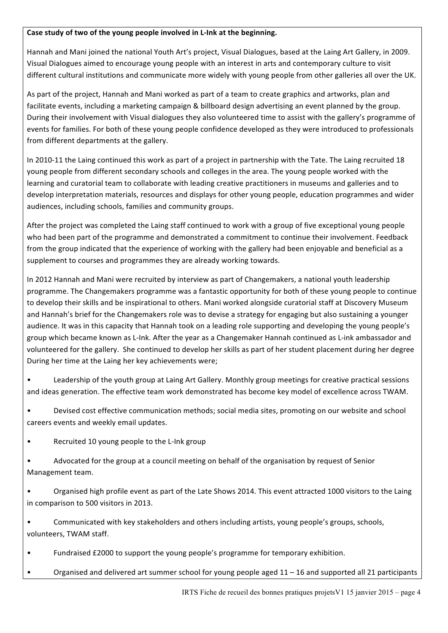#### Case study of two of the young people involved in L-Ink at the beginning.

Hannah and Mani joined the national Youth Art's project, Visual Dialogues, based at the Laing Art Gallery, in 2009. Visual Dialogues aimed to encourage young people with an interest in arts and contemporary culture to visit different cultural institutions and communicate more widely with young people from other galleries all over the UK.

As part of the project, Hannah and Mani worked as part of a team to create graphics and artworks, plan and facilitate events, including a marketing campaign & billboard design advertising an event planned by the group. During their involvement with Visual dialogues they also volunteered time to assist with the gallery's programme of events for families. For both of these young people confidence developed as they were introduced to professionals from different departments at the gallery.

In 2010-11 the Laing continued this work as part of a project in partnership with the Tate. The Laing recruited 18 young people from different secondary schools and colleges in the area. The young people worked with the learning and curatorial team to collaborate with leading creative practitioners in museums and galleries and to develop interpretation materials, resources and displays for other young people, education programmes and wider audiences, including schools, families and community groups.

After the project was completed the Laing staff continued to work with a group of five exceptional young people who had been part of the programme and demonstrated a commitment to continue their involvement. Feedback from the group indicated that the experience of working with the gallery had been enjoyable and beneficial as a supplement to courses and programmes they are already working towards.

In 2012 Hannah and Mani were recruited by interview as part of Changemakers, a national youth leadership programme. The Changemakers programme was a fantastic opportunity for both of these young people to continue to develop their skills and be inspirational to others. Mani worked alongside curatorial staff at Discovery Museum and Hannah's brief for the Changemakers role was to devise a strategy for engaging but also sustaining a younger audience. It was in this capacity that Hannah took on a leading role supporting and developing the young people's group which became known as L-Ink. After the year as a Changemaker Hannah continued as L-ink ambassador and volunteered for the gallery. She continued to develop her skills as part of her student placement during her degree During her time at the Laing her key achievements were;

Leadership of the youth group at Laing Art Gallery. Monthly group meetings for creative practical sessions and ideas generation. The effective team work demonstrated has become key model of excellence across TWAM.

• Devised cost effective communication methods; social media sites, promoting on our website and school careers events and weekly email updates.

Recruited 10 young people to the L-Ink group

• Advocated for the group at a council meeting on behalf of the organisation by request of Senior Management team.

Organised high profile event as part of the Late Shows 2014. This event attracted 1000 visitors to the Laing in comparison to 500 visitors in 2013.

Communicated with key stakeholders and others including artists, young people's groups, schools, volunteers. TWAM staff.

- Fundraised £2000 to support the young people's programme for temporary exhibition.
- Organised and delivered art summer school for young people aged 11 16 and supported all 21 participants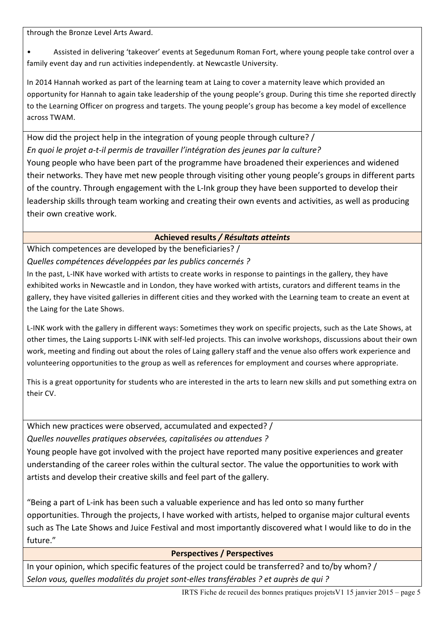through the Bronze Level Arts Award.

Assisted in delivering 'takeover' events at Segedunum Roman Fort, where young people take control over a family event day and run activities independently. at Newcastle University.

In 2014 Hannah worked as part of the learning team at Laing to cover a maternity leave which provided an opportunity for Hannah to again take leadership of the young people's group. During this time she reported directly to the Learning Officer on progress and targets. The young people's group has become a key model of excellence across TWAM.

How did the project help in the integration of young people through culture? / *En quoi le projet a-t-il permis de travailler l'intégration des jeunes par la culture?* Young people who have been part of the programme have broadened their experiences and widened their networks. They have met new people through visiting other young people's groups in different parts of the country. Through engagement with the L-Ink group they have been supported to develop their leadership skills through team working and creating their own events and activities, as well as producing their own creative work.

## Achieved results / Résultats atteints

Which competences are developed by the beneficiaries? / *Quelles compétences développées par les publics concernés ?*

In the past, L-INK have worked with artists to create works in response to paintings in the gallery, they have exhibited works in Newcastle and in London, they have worked with artists, curators and different teams in the gallery, they have visited galleries in different cities and they worked with the Learning team to create an event at the Laing for the Late Shows.

L-INK work with the gallery in different ways: Sometimes they work on specific projects, such as the Late Shows, at other times, the Laing supports L-INK with self-led projects. This can involve workshops, discussions about their own work, meeting and finding out about the roles of Laing gallery staff and the venue also offers work experience and volunteering opportunities to the group as well as references for employment and courses where appropriate.

This is a great opportunity for students who are interested in the arts to learn new skills and put something extra on their CV.

Which new practices were observed, accumulated and expected? / *Quelles nouvelles pratiques observées, capitalisées ou attendues ?* 

Young people have got involved with the project have reported many positive experiences and greater understanding of the career roles within the cultural sector. The value the opportunities to work with artists and develop their creative skills and feel part of the gallery.

"Being a part of L-ink has been such a valuable experience and has led onto so many further opportunities. Through the projects, I have worked with artists, helped to organise major cultural events such as The Late Shows and Juice Festival and most importantly discovered what I would like to do in the future."

### **Perspectives / Perspectives**

In your opinion, which specific features of the project could be transferred? and to/by whom? / *Selon vous, quelles modalités du projet sont-elles transférables ? et auprès de qui ?*